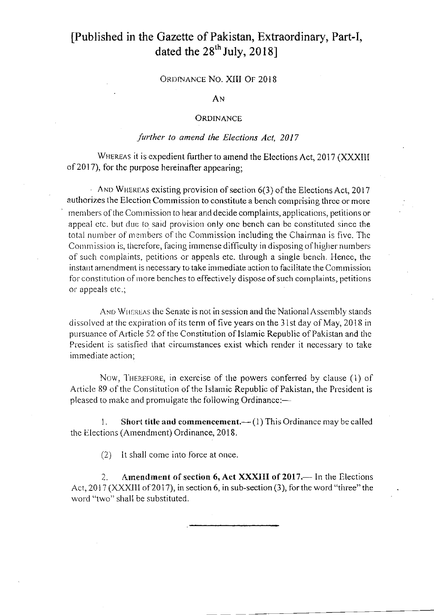## [Published in the Gazette of Pakistan, Extraordinary, Part-I, dated the  $28<sup>th</sup>$  July, 2018]

ORDINANCE NO. XIII OF 2018

AN

## **ORDINANCE**

## further to amend the Elections Act, 2017

WHEREAS it is expedient further to amend the Elections Act, 2017 (XXXIII) of 2017), for the purpose hereinafter appearing;

AND WHEREAS existing provision of section  $6(3)$  of the Elections Act, 2017 authorizes the Election Commission to constitute a bench comprising three or more members of the Commission to hear and decide complaints, applications, petitions or appeal etc. but due to said provision only one bench can be constituted since the total number of members of the Commission including the Chairman is five. The Commission is, therefore, facing immense difficulty in disposing of higher numbers of such complaints, petitions or appeals etc. through a single bench. Hence, the instant amendment is necessary to take immediate action to facilitate the Commission for constitution of more benches to effectively dispose of such complaints, petitions or appeals etc.;

AND WHEREAS the Senate is not in session and the National Assembly stands dissolved at the expiration of its term of five years on the 31st day of May, 2018 in pursuance of Article 52 of the Constitution of Islamic Republic of Pakistan and the President is satisfied that circumstances exist which render it necessary to take imrnediate action;

Now, THEREFORE, in exercise of the powers conferred by clause (1) of Article 89 of the Constitution of the Islamic Republic of Pakistan, the President is pleased to make and promulgate the following Ordinance:-

1. Short title and commencement.  $(1)$  This Ordinance may be called the Elections (Amendment) Ordinance, 2018.

 $(2)$  It shall come into force at once.

2. Amendment of section  $6$ , Act XXXIII of 2017.— In the Elections Act, 2017 (XXXIII of 2017), in section 6, in sub-section (3), for the word "three" the word "two" shall be substituted.